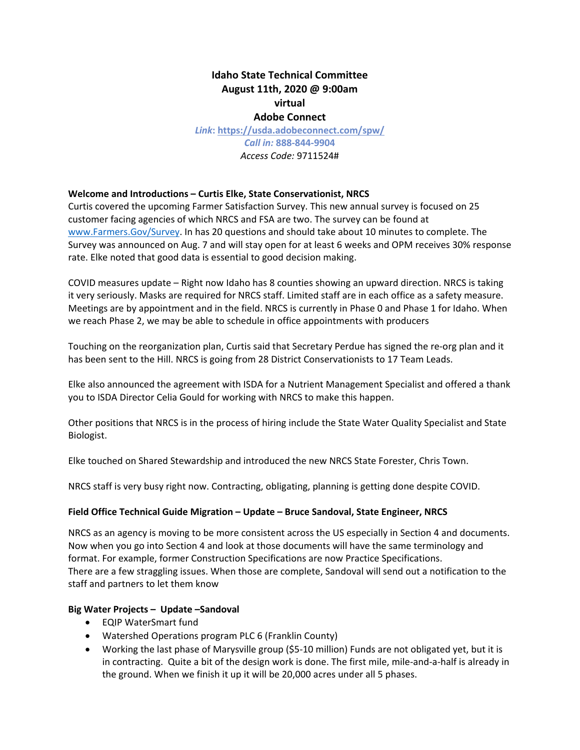# **Idaho State Technical Committee August 11th, 2020 @ 9:00am virtual Adobe Connect**

*Link***: [https://usda.adobeconnect.com/spw/](https://gcc02.safelinks.protection.outlook.com/?url=https%3A%2F%2Fusda.adobeconnect.com%2Fspw%2F&data=02%7C01%7C%7C36891a23ad5d46083d6108d83307f093%7Ced5b36e701ee4ebc867ee03cfa0d4697%7C0%7C0%7C637315456476221900&sdata=vrS5ntnZZEvBDRdIvWgNQ9JgE0OEoBIvBKsUwhGPLjs%3D&reserved=0)** *Call in:* **888-844-9904** *Access Code:* 9711524#

## **Welcome and Introductions – Curtis Elke, State Conservationist, NRCS**

Curtis covered the upcoming Farmer Satisfaction Survey. This new annual survey is focused on 25 customer facing agencies of which NRCS and FSA are two. The survey can be found at [www.Farmers.Gov/Survey.](http://www.farmers.gov/Survey) In has 20 questions and should take about 10 minutes to complete. The Survey was announced on Aug. 7 and will stay open for at least 6 weeks and OPM receives 30% response rate. Elke noted that good data is essential to good decision making.

COVID measures update – Right now Idaho has 8 counties showing an upward direction. NRCS is taking it very seriously. Masks are required for NRCS staff. Limited staff are in each office as a safety measure. Meetings are by appointment and in the field. NRCS is currently in Phase 0 and Phase 1 for Idaho. When we reach Phase 2, we may be able to schedule in office appointments with producers

Touching on the reorganization plan, Curtis said that Secretary Perdue has signed the re-org plan and it has been sent to the Hill. NRCS is going from 28 District Conservationists to 17 Team Leads.

Elke also announced the agreement with ISDA for a Nutrient Management Specialist and offered a thank you to ISDA Director Celia Gould for working with NRCS to make this happen.

Other positions that NRCS is in the process of hiring include the State Water Quality Specialist and State Biologist.

Elke touched on Shared Stewardship and introduced the new NRCS State Forester, Chris Town.

NRCS staff is very busy right now. Contracting, obligating, planning is getting done despite COVID.

#### **Field Office Technical Guide Migration – Update – Bruce Sandoval, State Engineer, NRCS**

NRCS as an agency is moving to be more consistent across the US especially in Section 4 and documents. Now when you go into Section 4 and look at those documents will have the same terminology and format. For example, former Construction Specifications are now Practice Specifications. There are a few straggling issues. When those are complete, Sandoval will send out a notification to the staff and partners to let them know

### **Big Water Projects – Update –Sandoval**

- EQIP WaterSmart fund
- Watershed Operations program PLC 6 (Franklin County)
- Working the last phase of Marysville group (\$5-10 million) Funds are not obligated yet, but it is in contracting. Quite a bit of the design work is done. The first mile, mile-and-a-half is already in the ground. When we finish it up it will be 20,000 acres under all 5 phases.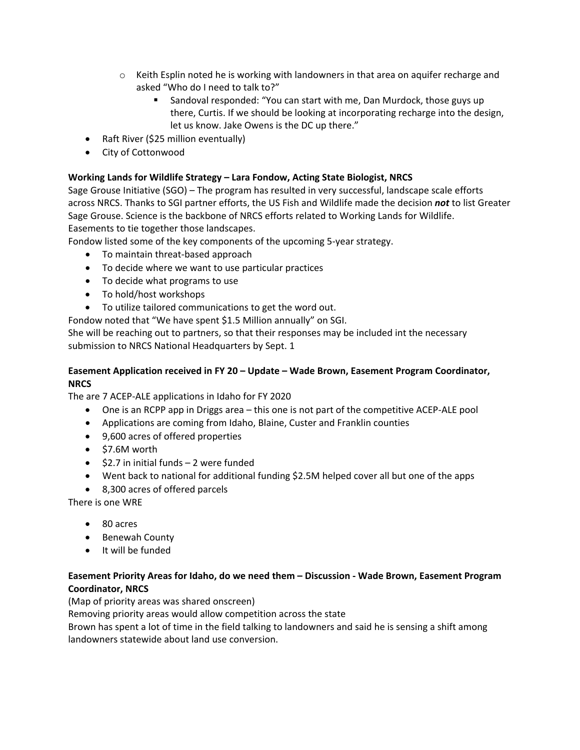- $\circ$  Keith Esplin noted he is working with landowners in that area on aquifer recharge and asked "Who do I need to talk to?"
	- Sandoval responded: "You can start with me, Dan Murdock, those guys up there, Curtis. If we should be looking at incorporating recharge into the design, let us know. Jake Owens is the DC up there."
- Raft River (\$25 million eventually)
- City of Cottonwood

## **Working Lands for Wildlife Strategy – Lara Fondow, Acting State Biologist, NRCS**

Sage Grouse Initiative (SGO) – The program has resulted in very successful, landscape scale efforts across NRCS. Thanks to SGI partner efforts, the US Fish and Wildlife made the decision *not* to list Greater Sage Grouse. Science is the backbone of NRCS efforts related to Working Lands for Wildlife. Easements to tie together those landscapes.

Fondow listed some of the key components of the upcoming 5-year strategy.

- To maintain threat-based approach
- To decide where we want to use particular practices
- To decide what programs to use
- To hold/host workshops
- To utilize tailored communications to get the word out.

Fondow noted that "We have spent \$1.5 Million annually" on SGI.

She will be reaching out to partners, so that their responses may be included int the necessary submission to NRCS National Headquarters by Sept. 1

### **Easement Application received in FY 20 – Update – Wade Brown, Easement Program Coordinator, NRCS**

The are 7 ACEP-ALE applications in Idaho for FY 2020

- One is an RCPP app in Driggs area this one is not part of the competitive ACEP-ALE pool
- Applications are coming from Idaho, Blaine, Custer and Franklin counties
- 9,600 acres of offered properties
- \$7.6M worth
- \$2.7 in initial funds 2 were funded
- Went back to national for additional funding \$2.5M helped cover all but one of the apps
- 8,300 acres of offered parcels

There is one WRE

- 80 acres
- Benewah County
- It will be funded

## **Easement Priority Areas for Idaho, do we need them – Discussion - Wade Brown, Easement Program Coordinator, NRCS**

(Map of priority areas was shared onscreen)

Removing priority areas would allow competition across the state

Brown has spent a lot of time in the field talking to landowners and said he is sensing a shift among landowners statewide about land use conversion.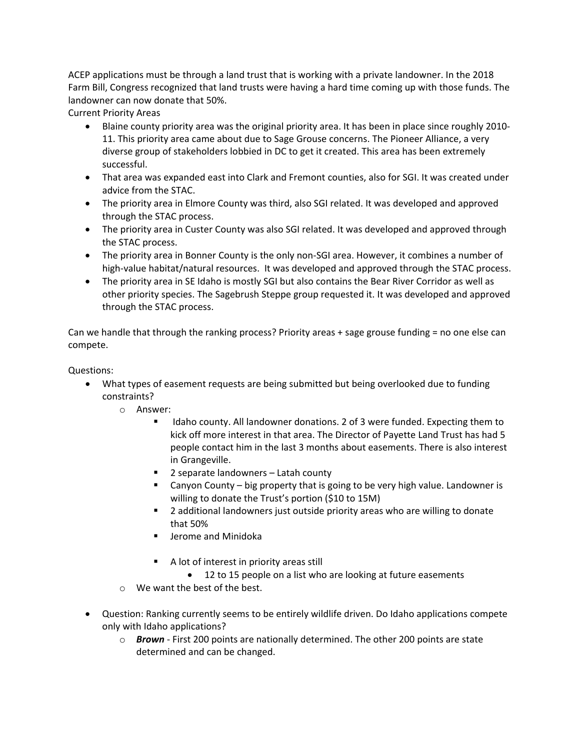ACEP applications must be through a land trust that is working with a private landowner. In the 2018 Farm Bill, Congress recognized that land trusts were having a hard time coming up with those funds. The landowner can now donate that 50%.

Current Priority Areas

- Blaine county priority area was the original priority area. It has been in place since roughly 2010- 11. This priority area came about due to Sage Grouse concerns. The Pioneer Alliance, a very diverse group of stakeholders lobbied in DC to get it created. This area has been extremely successful.
- That area was expanded east into Clark and Fremont counties, also for SGI. It was created under advice from the STAC.
- The priority area in Elmore County was third, also SGI related. It was developed and approved through the STAC process.
- The priority area in Custer County was also SGI related. It was developed and approved through the STAC process.
- The priority area in Bonner County is the only non-SGI area. However, it combines a number of high-value habitat/natural resources. It was developed and approved through the STAC process.
- The priority area in SE Idaho is mostly SGI but also contains the Bear River Corridor as well as other priority species. The Sagebrush Steppe group requested it. It was developed and approved through the STAC process.

Can we handle that through the ranking process? Priority areas + sage grouse funding = no one else can compete.

Questions:

- What types of easement requests are being submitted but being overlooked due to funding constraints?
	- o Answer:
		- **IDED 19 IDA** county. All landowner donations. 2 of 3 were funded. Expecting them to kick off more interest in that area. The Director of Payette Land Trust has had 5 people contact him in the last 3 months about easements. There is also interest in Grangeville.
		- 2 separate landowners Latah county
		- Canyon County big property that is going to be very high value. Landowner is willing to donate the Trust's portion (\$10 to 15M)
		- **2** additional landowners just outside priority areas who are willing to donate that 50%
		- **E** Jerome and Minidoka
		- A lot of interest in priority areas still
		- 12 to 15 people on a list who are looking at future easements
	- o We want the best of the best.
- Question: Ranking currently seems to be entirely wildlife driven. Do Idaho applications compete only with Idaho applications?
	- o *Brown* First 200 points are nationally determined. The other 200 points are state determined and can be changed.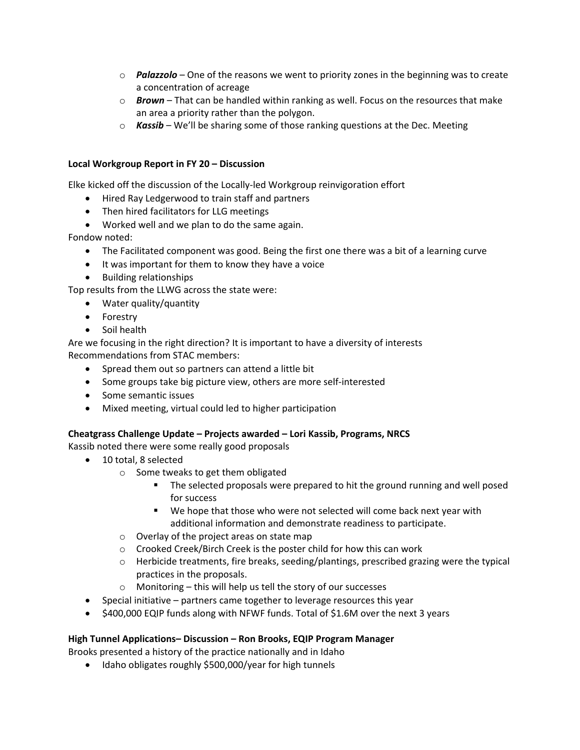- o *Palazzolo* One of the reasons we went to priority zones in the beginning was to create a concentration of acreage
- o *Brown* That can be handled within ranking as well. Focus on the resources that make an area a priority rather than the polygon.
- o *Kassib* We'll be sharing some of those ranking questions at the Dec. Meeting

### **Local Workgroup Report in FY 20 – Discussion**

Elke kicked off the discussion of the Locally-led Workgroup reinvigoration effort

- Hired Ray Ledgerwood to train staff and partners
- Then hired facilitators for LLG meetings
- Worked well and we plan to do the same again.

Fondow noted:

- The Facilitated component was good. Being the first one there was a bit of a learning curve
- It was important for them to know they have a voice
- Building relationships

Top results from the LLWG across the state were:

- Water quality/quantity
- Forestry
- Soil health

Are we focusing in the right direction? It is important to have a diversity of interests Recommendations from STAC members:

- Spread them out so partners can attend a little bit
- Some groups take big picture view, others are more self-interested
- Some semantic issues
- Mixed meeting, virtual could led to higher participation

### **Cheatgrass Challenge Update – Projects awarded – Lori Kassib, Programs, NRCS**

Kassib noted there were some really good proposals

- 10 total, 8 selected
	- o Some tweaks to get them obligated
		- The selected proposals were prepared to hit the ground running and well posed for success
		- We hope that those who were not selected will come back next year with additional information and demonstrate readiness to participate.
	- o Overlay of the project areas on state map
	- o Crooked Creek/Birch Creek is the poster child for how this can work
	- $\circ$  Herbicide treatments, fire breaks, seeding/plantings, prescribed grazing were the typical practices in the proposals.
	- o Monitoring this will help us tell the story of our successes
- Special initiative partners came together to leverage resources this year
- \$400,000 EQIP funds along with NFWF funds. Total of \$1.6M over the next 3 years

### **High Tunnel Applications– Discussion – Ron Brooks, EQIP Program Manager**

Brooks presented a history of the practice nationally and in Idaho

• Idaho obligates roughly \$500,000/year for high tunnels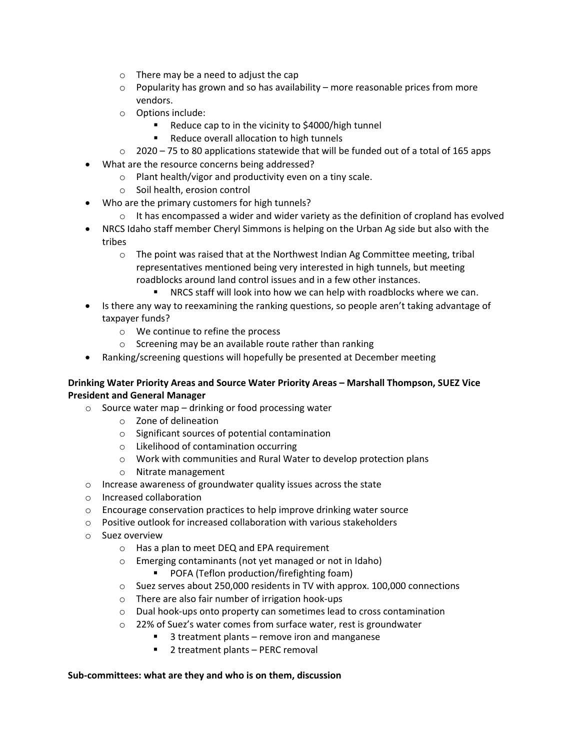- o There may be a need to adjust the cap
- $\circ$  Popularity has grown and so has availability more reasonable prices from more vendors.
- o Options include:
	- Reduce cap to in the vicinity to \$4000/high tunnel
	- **Reduce overall allocation to high tunnels**
- $\circ$  2020 75 to 80 applications statewide that will be funded out of a total of 165 apps
- What are the resource concerns being addressed?
	- o Plant health/vigor and productivity even on a tiny scale.
	- o Soil health, erosion control
- Who are the primary customers for high tunnels?
	- $\circ$  It has encompassed a wider and wider variety as the definition of cropland has evolved
- NRCS Idaho staff member Cheryl Simmons is helping on the Urban Ag side but also with the tribes
	- $\circ$  The point was raised that at the Northwest Indian Ag Committee meeting, tribal representatives mentioned being very interested in high tunnels, but meeting roadblocks around land control issues and in a few other instances.
		- **NRCS staff will look into how we can help with roadblocks where we can.**
- Is there any way to reexamining the ranking questions, so people aren't taking advantage of taxpayer funds?
	- o We continue to refine the process
	- o Screening may be an available route rather than ranking
- Ranking/screening questions will hopefully be presented at December meeting

## **Drinking Water Priority Areas and Source Water Priority Areas – Marshall Thompson, SUEZ Vice President and General Manager**

- o Source water map drinking or food processing water
	- o Zone of delineation
	- o Significant sources of potential contamination
	- o Likelihood of contamination occurring
	- o Work with communities and Rural Water to develop protection plans
	- o Nitrate management
- o Increase awareness of groundwater quality issues across the state
- o Increased collaboration
- o Encourage conservation practices to help improve drinking water source
- $\circ$  Positive outlook for increased collaboration with various stakeholders
- o Suez overview
	- o Has a plan to meet DEQ and EPA requirement
	- o Emerging contaminants (not yet managed or not in Idaho)
		- **POFA (Teflon production/firefighting foam)**
	- o Suez serves about 250,000 residents in TV with approx. 100,000 connections
	- o There are also fair number of irrigation hook-ups
	- o Dual hook-ups onto property can sometimes lead to cross contamination
	- o 22% of Suez's water comes from surface water, rest is groundwater
		- 3 treatment plants remove iron and manganese
			- 2 treatment plants PERC removal

### **Sub-committees: what are they and who is on them, discussion**